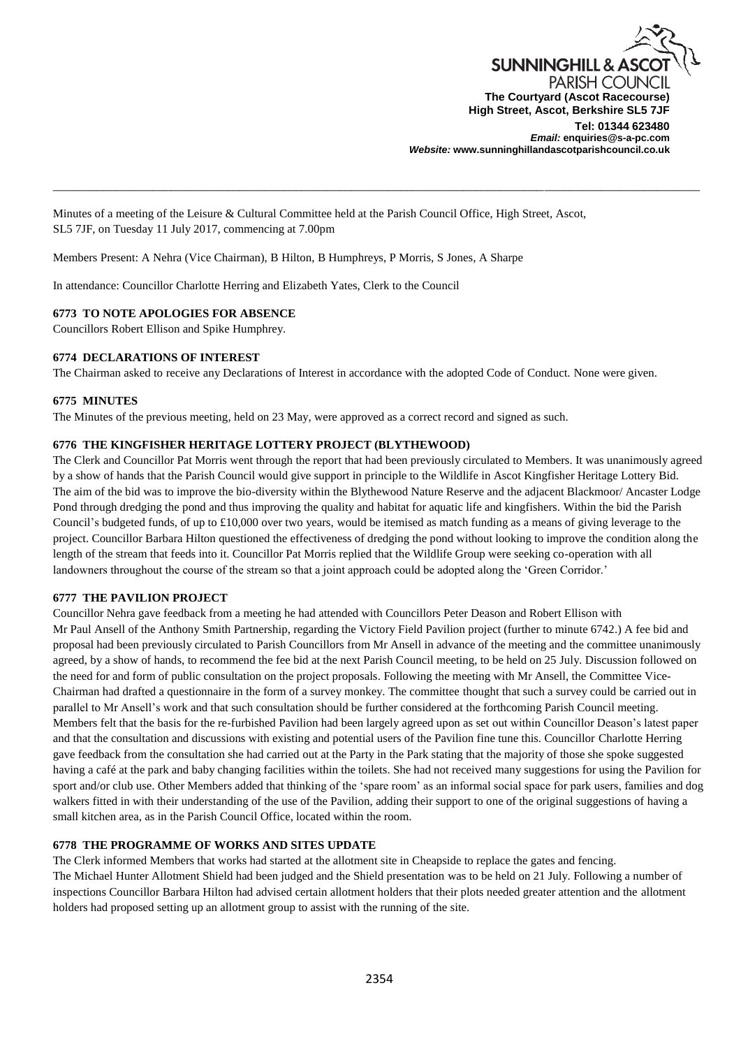

Minutes of a meeting of the Leisure & Cultural Committee held at the Parish Council Office, High Street, Ascot, SL5 7JF, on Tuesday 11 July 2017, commencing at 7.00pm

Members Present: A Nehra (Vice Chairman), B Hilton, B Humphreys, P Morris, S Jones, A Sharpe

In attendance: Councillor Charlotte Herring and Elizabeth Yates, Clerk to the Council

#### **6773 TO NOTE APOLOGIES FOR ABSENCE**

Councillors Robert Ellison and Spike Humphrey.

#### **6774 DECLARATIONS OF INTEREST**

The Chairman asked to receive any Declarations of Interest in accordance with the adopted Code of Conduct. None were given.

\_\_\_\_\_\_\_\_\_\_\_\_\_\_\_\_\_\_\_\_\_\_\_\_\_\_\_\_\_\_\_\_\_\_\_\_\_\_\_\_\_\_\_\_\_\_\_\_\_\_\_\_\_\_\_\_\_\_\_\_\_\_\_\_\_\_\_\_\_\_\_\_\_\_\_\_\_\_\_\_\_\_\_\_\_\_\_\_\_\_\_\_\_\_\_\_\_\_\_\_\_\_\_\_

## **6775 MINUTES**

The Minutes of the previous meeting, held on 23 May, were approved as a correct record and signed as such.

### **6776 THE KINGFISHER HERITAGE LOTTERY PROJECT (BLYTHEWOOD)**

The Clerk and Councillor Pat Morris went through the report that had been previously circulated to Members. It was unanimously agreed by a show of hands that the Parish Council would give support in principle to the Wildlife in Ascot Kingfisher Heritage Lottery Bid. The aim of the bid was to improve the bio-diversity within the Blythewood Nature Reserve and the adjacent Blackmoor/ Ancaster Lodge Pond through dredging the pond and thus improving the quality and habitat for aquatic life and kingfishers. Within the bid the Parish Council's budgeted funds, of up to £10,000 over two years, would be itemised as match funding as a means of giving leverage to the project. Councillor Barbara Hilton questioned the effectiveness of dredging the pond without looking to improve the condition along the length of the stream that feeds into it. Councillor Pat Morris replied that the Wildlife Group were seeking co-operation with all landowners throughout the course of the stream so that a joint approach could be adopted along the 'Green Corridor.'

### **6777 THE PAVILION PROJECT**

Councillor Nehra gave feedback from a meeting he had attended with Councillors Peter Deason and Robert Ellison with Mr Paul Ansell of the Anthony Smith Partnership, regarding the Victory Field Pavilion project (further to minute 6742.) A fee bid and proposal had been previously circulated to Parish Councillors from Mr Ansell in advance of the meeting and the committee unanimously agreed, by a show of hands, to recommend the fee bid at the next Parish Council meeting, to be held on 25 July. Discussion followed on the need for and form of public consultation on the project proposals. Following the meeting with Mr Ansell, the Committee Vice-Chairman had drafted a questionnaire in the form of a survey monkey. The committee thought that such a survey could be carried out in parallel to Mr Ansell's work and that such consultation should be further considered at the forthcoming Parish Council meeting. Members felt that the basis for the re-furbished Pavilion had been largely agreed upon as set out within Councillor Deason's latest paper and that the consultation and discussions with existing and potential users of the Pavilion fine tune this. Councillor Charlotte Herring gave feedback from the consultation she had carried out at the Party in the Park stating that the majority of those she spoke suggested having a café at the park and baby changing facilities within the toilets. She had not received many suggestions for using the Pavilion for sport and/or club use. Other Members added that thinking of the 'spare room' as an informal social space for park users, families and dog walkers fitted in with their understanding of the use of the Pavilion, adding their support to one of the original suggestions of having a small kitchen area, as in the Parish Council Office, located within the room.

### **6778 THE PROGRAMME OF WORKS AND SITES UPDATE**

The Clerk informed Members that works had started at the allotment site in Cheapside to replace the gates and fencing. The Michael Hunter Allotment Shield had been judged and the Shield presentation was to be held on 21 July. Following a number of inspections Councillor Barbara Hilton had advised certain allotment holders that their plots needed greater attention and the allotment holders had proposed setting up an allotment group to assist with the running of the site.